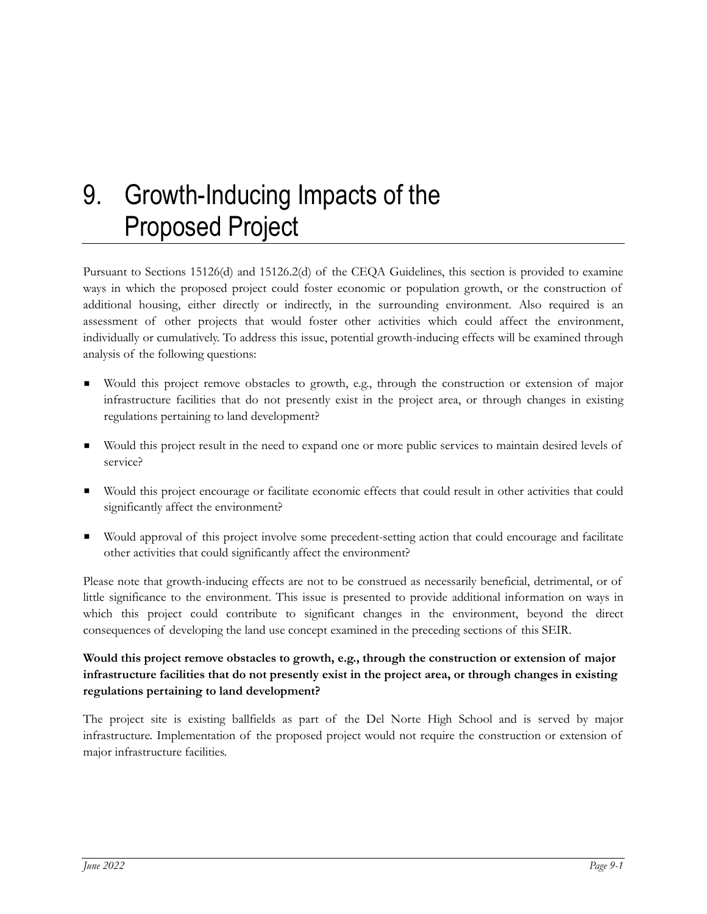# 9. Growth-Inducing Impacts of the Proposed Project

Pursuant to Sections 15126(d) and 15126.2(d) of the CEQA Guidelines, this section is provided to examine ways in which the proposed project could foster economic or population growth, or the construction of additional housing, either directly or indirectly, in the surrounding environment. Also required is an assessment of other projects that would foster other activities which could affect the environment, individually or cumulatively. To address this issue, potential growth-inducing effects will be examined through analysis of the following questions:

- Would this project remove obstacles to growth, e.g., through the construction or extension of major infrastructure facilities that do not presently exist in the project area, or through changes in existing regulations pertaining to land development?
- Would this project result in the need to expand one or more public services to maintain desired levels of service?
- Would this project encourage or facilitate economic effects that could result in other activities that could significantly affect the environment?
- Would approval of this project involve some precedent-setting action that could encourage and facilitate other activities that could significantly affect the environment?

Please note that growth-inducing effects are not to be construed as necessarily beneficial, detrimental, or of little significance to the environment. This issue is presented to provide additional information on ways in which this project could contribute to significant changes in the environment, beyond the direct consequences of developing the land use concept examined in the preceding sections of this SEIR.

## **Would this project remove obstacles to growth, e.g., through the construction or extension of major infrastructure facilities that do not presently exist in the project area, or through changes in existing regulations pertaining to land development?**

The project site is existing ballfields as part of the Del Norte High School and is served by major infrastructure. Implementation of the proposed project would not require the construction or extension of major infrastructure facilities.